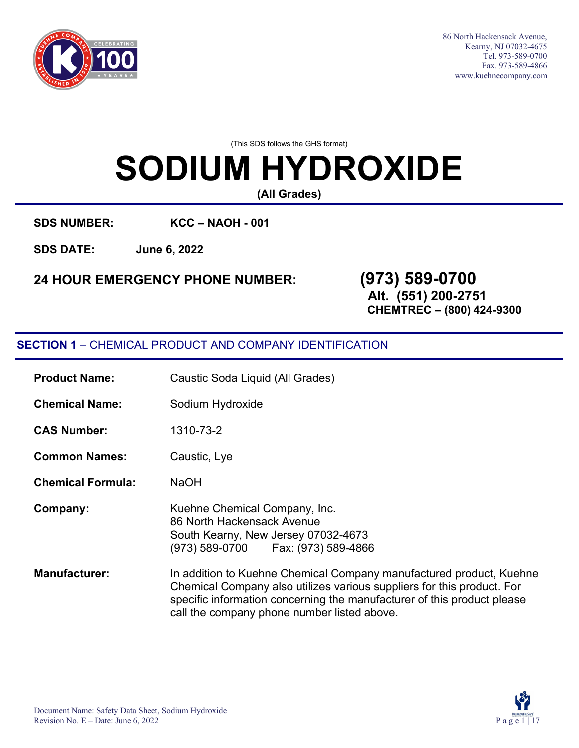

86 North Hackensack Avenue, Kearny, NJ 07032-4675 Tel. 973-589-0700 Fax. 973-589-4866 [www.kuehnecompany.com](http://www.kuehnecompany.com/)

(This SDS follows the GHS format)

# **SODIUM HYDROXIDE**

**(All Grades)**

**SDS NUMBER: KCC – NAOH - 001** 

**SDS DATE: June 6, 2022**

### **24 HOUR EMERGENCY PHONE NUMBER: (973) 589-0700**

**Alt. (551) 200-2751**

**CHEMTREC – (800) 424-9300**

### **SECTION 1** – CHEMICAL PRODUCT AND COMPANY IDENTIFICATION

| <b>Product Name:</b>     | Caustic Soda Liquid (All Grades)                                                                                                                                                                                                                                        |
|--------------------------|-------------------------------------------------------------------------------------------------------------------------------------------------------------------------------------------------------------------------------------------------------------------------|
| <b>Chemical Name:</b>    | Sodium Hydroxide                                                                                                                                                                                                                                                        |
| <b>CAS Number:</b>       | 1310-73-2                                                                                                                                                                                                                                                               |
| <b>Common Names:</b>     | Caustic, Lye                                                                                                                                                                                                                                                            |
| <b>Chemical Formula:</b> | <b>NaOH</b>                                                                                                                                                                                                                                                             |
| Company:                 | Kuehne Chemical Company, Inc.<br>86 North Hackensack Avenue<br>South Kearny, New Jersey 07032-4673<br>(973) 589-0700    Fax: (973) 589-4866                                                                                                                             |
| <b>Manufacturer:</b>     | In addition to Kuehne Chemical Company manufactured product, Kuehne<br>Chemical Company also utilizes various suppliers for this product. For<br>specific information concerning the manufacturer of this product please<br>call the company phone number listed above. |

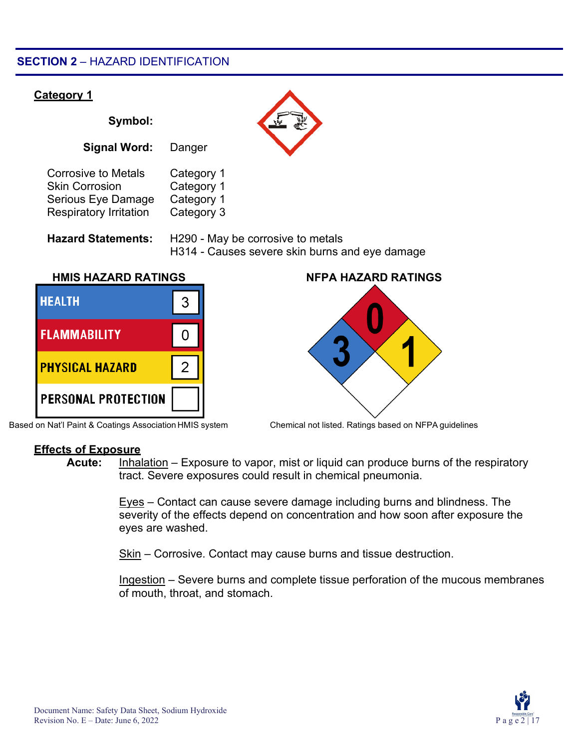#### **SECTION 2** – HAZARD IDENTIFICATION



Based on Nat'l Paint & Coatings Association HMIS system Chemical not listed. Ratings based on NFPA guidelines



#### **Effects of Exposure**

**Acute:** Inhalation – Exposure to vapor, mist or liquid can produce burns of the respiratory tract. Severe exposures could result in chemical pneumonia.

> Eyes – Contact can cause severe damage including burns and blindness. The severity of the effects depend on concentration and how soon after exposure the eyes are washed.

Skin – Corrosive. Contact may cause burns and tissue destruction.

Ingestion – Severe burns and complete tissue perforation of the mucous membranes of mouth, throat, and stomach.

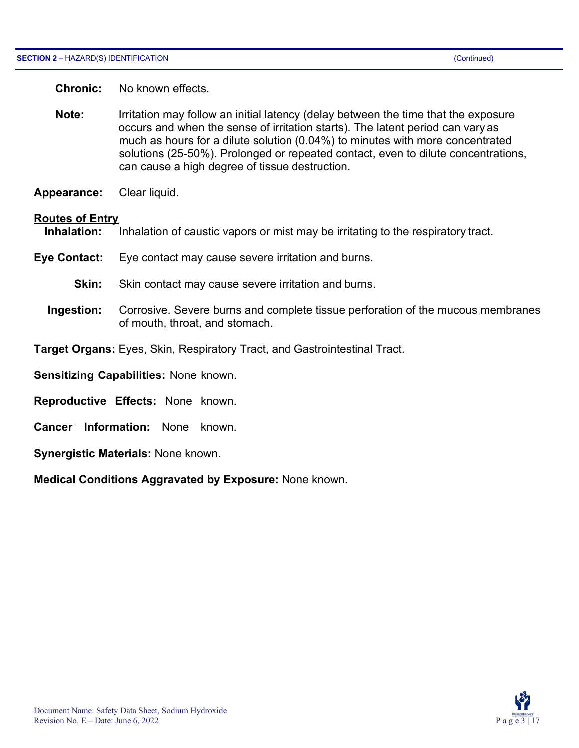**Chronic:** No known effects.

- **Note:** Irritation may follow an initial latency (delay between the time that the exposure occurs and when the sense of irritation starts). The latent period can vary as much as hours for a dilute solution (0.04%) to minutes with more concentrated solutions (25-50%). Prolonged or repeated contact, even to dilute concentrations, can cause a high degree of tissue destruction.
- **Appearance:** Clear liquid.

#### **Routes of Entry**

**Inhalation:** Inhalation of caustic vapors or mist may be irritating to the respiratory tract.

- **Eye Contact:** Eye contact may cause severe irritation and burns.
	- **Skin:** Skin contact may cause severe irritation and burns.
	- **Ingestion:** Corrosive. Severe burns and complete tissue perforation of the mucous membranes of mouth, throat, and stomach.
- **Target Organs:** Eyes, Skin, Respiratory Tract, and Gastrointestinal Tract.

**Sensitizing Capabilities:** None known.

- **Reproductive Effects:** None known.
- **Cancer Information:** None known.
- **Synergistic Materials:** None known.

**Medical Conditions Aggravated by Exposure:** None known.

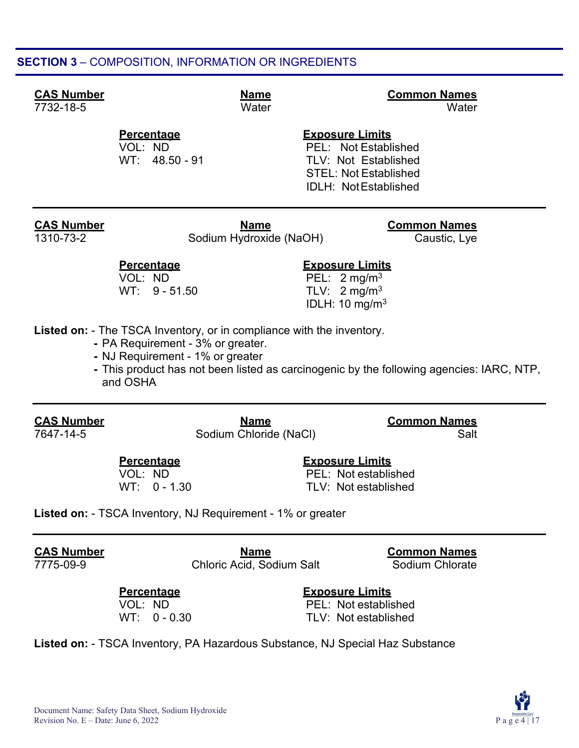#### **SECTION 3** – COMPOSITION, INFORMATION OR INGREDIENTS

## **CAS Number Name Common Names**

7732-18-5 Water Water

## **Percentage Exposure Limits**

PEL: Not Established WT: 48.50 - 91 TLV: Not Established STEL: Not Established IDLH: NotEstablished

**CAS Number Name CAS Number COMMON NAMES** 1310-73-2 Sodium Hydroxide (NaOH) Caustic, Lye

**Percentage Exposure Limits**

VOL:  $ND$ <br>
WT:  $9 - 51.50$  PEL:  $2 \text{ mg/m}^3$ <br>
TLV:  $2 \text{ mg/m}^3$ TLV:  $2 \text{ mg/m}^3$ IDLH: 10 mg/m3

**Listed on:** - The TSCA Inventory, or in compliance with the inventory.

- PA Requirement 3% or greater.
- NJ Requirement 1% or greater

**-** This product has not been listed as carcinogenic by the following agencies: IARC, NTP, and OSHA

**CAS Number Name Common Names 7641-14-5 Sodium Chloride (NaCl)** Sodia Salt

WT: 0 - 1.30 TLV: Not established

**Percentage Exposure Limits** PEL: Not established

**Listed on:** - TSCA Inventory, NJ Requirement - 1% or greater

**CAS Number Name Common Names** Chloric Acid, Sodium Salt

**Percentage Exposure Limits**

PEL: Not established WT: 0 - 0.30 TLV: Not established

**Listed on:** - TSCA Inventory, PA Hazardous Substance, NJ Special Haz Substance

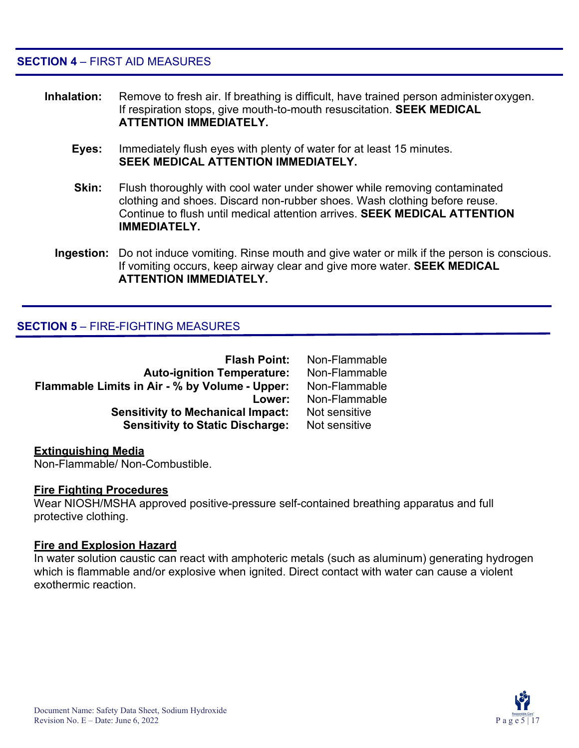**SECTION 4** – FIRST AID MEASURES

- **Inhalation:** Remove to fresh air. If breathing is difficult, have trained person administeroxygen. If respiration stops, give mouth-to-mouth resuscitation. **SEEK MEDICAL ATTENTION IMMEDIATELY.**
	- **Eyes:** Immediately flush eyes with plenty of water for at least 15 minutes. **SEEK MEDICAL ATTENTION IMMEDIATELY.**
	- **Skin:** Flush thoroughly with cool water under shower while removing contaminated clothing and shoes. Discard non-rubber shoes. Wash clothing before reuse. Continue to flush until medical attention arrives. **SEEK MEDICAL ATTENTION IMMEDIATELY.**
	- **Ingestion:** Do not induce vomiting. Rinse mouth and give water or milk if the person is conscious. If vomiting occurs, keep airway clear and give more water. **SEEK MEDICAL ATTENTION IMMEDIATELY.**

#### **SECTION 5** – FIRE-FIGHTING MEASURES

| <b>Flash Point:</b>                            | Non-Flammable |
|------------------------------------------------|---------------|
| <b>Auto-ignition Temperature:</b>              | Non-Flammable |
| Flammable Limits in Air - % by Volume - Upper: | Non-Flammable |
| Lower:                                         | Non-Flammable |
| <b>Sensitivity to Mechanical Impact:</b>       | Not sensitive |
| <b>Sensitivity to Static Discharge:</b>        | Not sensitive |

#### **Extinguishing Media**

Non-Flammable/ Non-Combustible.

#### **Fire Fighting Procedures**

Wear NIOSH/MSHA approved positive-pressure self-contained breathing apparatus and full protective clothing.

#### **Fire and Explosion Hazard**

In water solution caustic can react with amphoteric metals (such as aluminum) generating hydrogen which is flammable and/or explosive when ignited. Direct contact with water can cause a violent exothermic reaction.

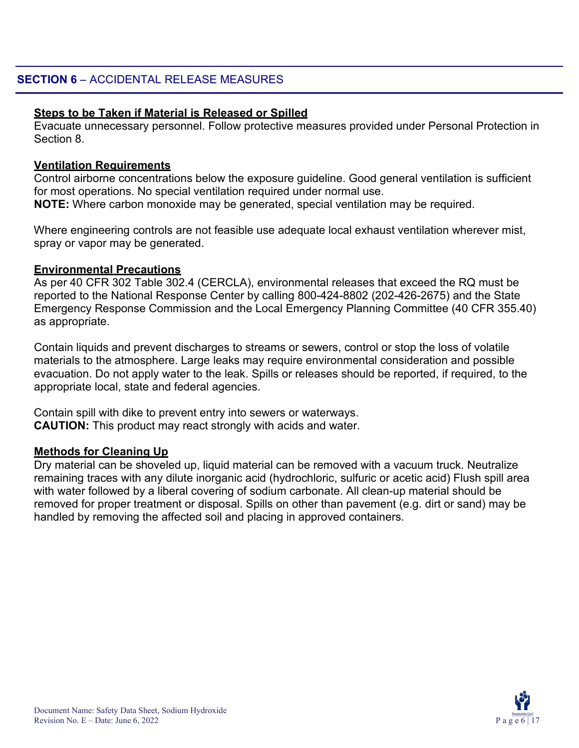#### **Steps to be Taken if Material is Released or Spilled**

Evacuate unnecessary personnel. Follow protective measures provided under Personal Protection in Section 8.

#### **Ventilation Requirements**

Control airborne concentrations below the exposure guideline. Good general ventilation is sufficient for most operations. No special ventilation required under normal use. **NOTE:** Where carbon monoxide may be generated, special ventilation may be required.

Where engineering controls are not feasible use adequate local exhaust ventilation wherever mist, spray or vapor may be generated.

#### **Environmental Precautions**

As per 40 CFR 302 Table 302.4 (CERCLA), environmental releases that exceed the RQ must be reported to the National Response Center by calling 800-424-8802 (202-426-2675) and the State Emergency Response Commission and the Local Emergency Planning Committee (40 CFR 355.40) as appropriate.

Contain liquids and prevent discharges to streams or sewers, control or stop the loss of volatile materials to the atmosphere. Large leaks may require environmental consideration and possible evacuation. Do not apply water to the leak. Spills or releases should be reported, if required, to the appropriate local, state and federal agencies.

Contain spill with dike to prevent entry into sewers or waterways. **CAUTION:** This product may react strongly with acids and water.

#### **Methods for Cleaning Up**

Dry material can be shoveled up, liquid material can be removed with a vacuum truck. Neutralize remaining traces with any dilute inorganic acid (hydrochloric, sulfuric or acetic acid) Flush spill area with water followed by a liberal covering of sodium carbonate. All clean-up material should be removed for proper treatment or disposal. Spills on other than pavement (e.g. dirt or sand) may be handled by removing the affected soil and placing in approved containers.

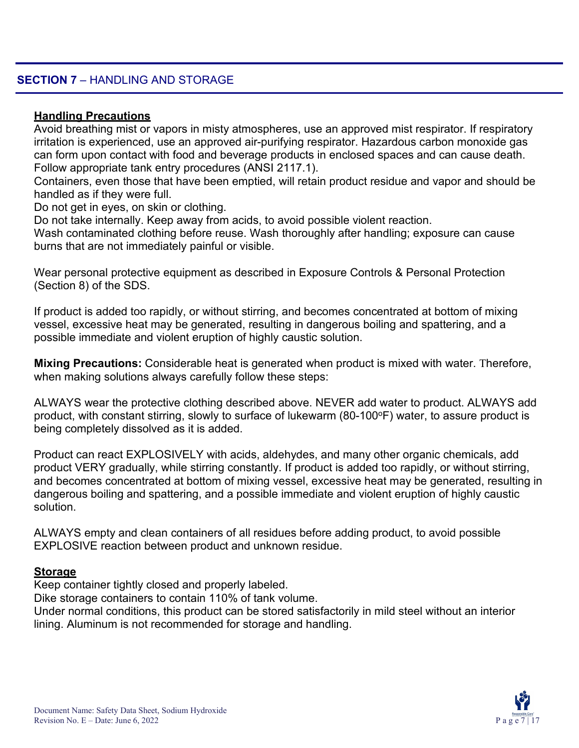#### **SECTION 7** – HANDLING AND STORAGE

#### **Handling Precautions**

Avoid breathing mist or vapors in misty atmospheres, use an approved mist respirator. If respiratory irritation is experienced, use an approved air-purifying respirator. Hazardous carbon monoxide gas can form upon contact with food and beverage products in enclosed spaces and can cause death. Follow appropriate tank entry procedures (ANSI 2117.1).

Containers, even those that have been emptied, will retain product residue and vapor and should be handled as if they were full.

Do not get in eyes, on skin or clothing.

Do not take internally. Keep away from acids, to avoid possible violent reaction.

Wash contaminated clothing before reuse. Wash thoroughly after handling; exposure can cause burns that are not immediately painful or visible.

Wear personal protective equipment as described in Exposure Controls & Personal Protection (Section 8) of the SDS.

If product is added too rapidly, or without stirring, and becomes concentrated at bottom of mixing vessel, excessive heat may be generated, resulting in dangerous boiling and spattering, and a possible immediate and violent eruption of highly caustic solution.

**Mixing Precautions:** Considerable heat is generated when product is mixed with water. Therefore, when making solutions always carefully follow these steps:

ALWAYS wear the protective clothing described above. NEVER add water to product. ALWAYS add product, with constant stirring, slowly to surface of lukewarm (80-100°F) water, to assure product is being completely dissolved as it is added.

Product can react EXPLOSIVELY with acids, aldehydes, and many other organic chemicals, add product VERY gradually, while stirring constantly. If product is added too rapidly, or without stirring, and becomes concentrated at bottom of mixing vessel, excessive heat may be generated, resulting in dangerous boiling and spattering, and a possible immediate and violent eruption of highly caustic solution.

ALWAYS empty and clean containers of all residues before adding product, to avoid possible EXPLOSIVE reaction between product and unknown residue.

#### **Storage**

Keep container tightly closed and properly labeled.

Dike storage containers to contain 110% of tank volume.

Under normal conditions, this product can be stored satisfactorily in mild steel without an interior lining. Aluminum is not recommended for storage and handling.

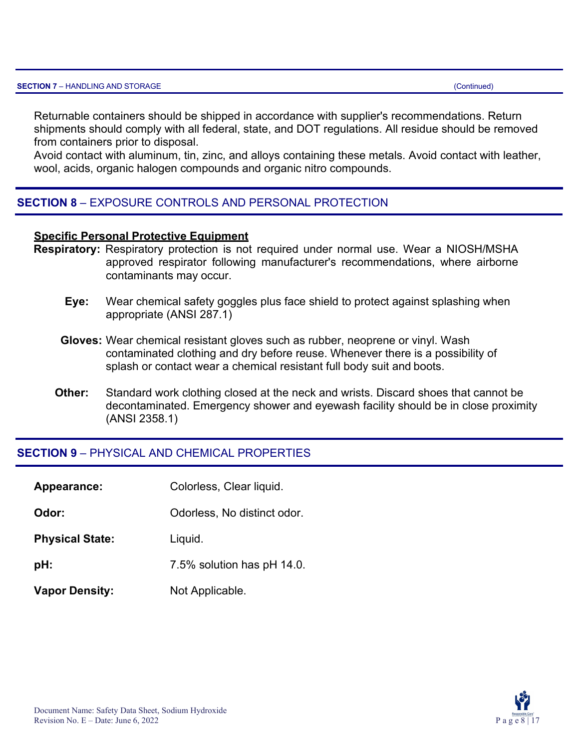Returnable containers should be shipped in accordance with supplier's recommendations. Return shipments should comply with all federal, state, and DOT regulations. All residue should be removed from containers prior to disposal.

Avoid contact with aluminum, tin, zinc, and alloys containing these metals. Avoid contact with leather, wool, acids, organic halogen compounds and organic nitro compounds.

#### **SECTION 8** – EXPOSURE CONTROLS AND PERSONAL PROTECTION

#### **Specific Personal Protective Equipment**

- **Respiratory:** Respiratory protection is not required under normal use. Wear a NIOSH/MSHA approved respirator following manufacturer's recommendations, where airborne contaminants may occur.
	- **Eye:** Wear chemical safety goggles plus face shield to protect against splashing when appropriate (ANSI 287.1)
	- **Gloves:** Wear chemical resistant gloves such as rubber, neoprene or vinyl. Wash contaminated clothing and dry before reuse. Whenever there is a possibility of splash or contact wear a chemical resistant full body suit and boots.
	- **Other:** Standard work clothing closed at the neck and wrists. Discard shoes that cannot be decontaminated. Emergency shower and eyewash facility should be in close proximity (ANSI 2358.1)

#### **SECTION 9** – PHYSICAL AND CHEMICAL PROPERTIES

| Appearance:            | Colorless, Clear liquid.    |
|------------------------|-----------------------------|
| Odor:                  | Odorless, No distinct odor. |
| <b>Physical State:</b> | Liquid.                     |
| pH:                    | 7.5% solution has pH 14.0.  |
| <b>Vapor Density:</b>  | Not Applicable.             |

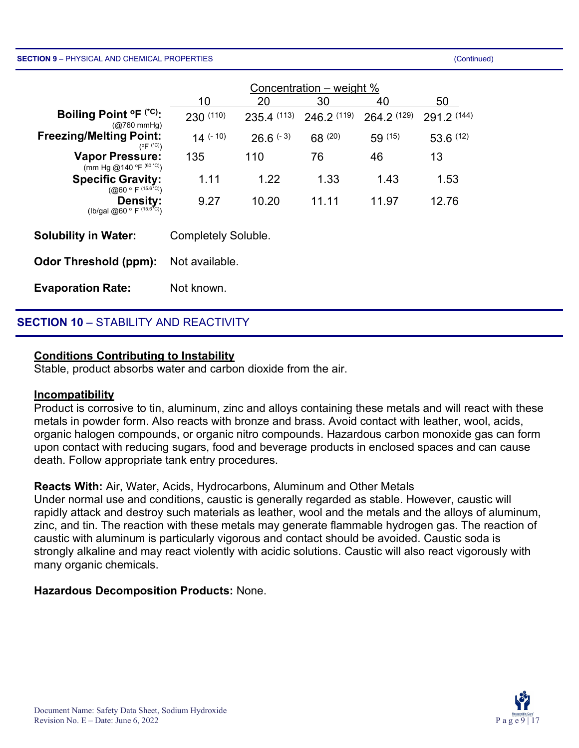#### **SECTION 9** – PHYSICAL AND CHEMICAL PROPERTIES (Continued)

|                                                                                   | Concentration – weight % |               |                 |             |             |
|-----------------------------------------------------------------------------------|--------------------------|---------------|-----------------|-------------|-------------|
|                                                                                   | 10                       | 20            | 30              | 40          | 50          |
| Boiling Point $^{\circ}$ F ( $^{\circ}$ C):<br>$(Q760 \text{ mmHg})$              | 230 (110)                | 235.4(113)    | $246.2^{(119)}$ | 264.2 (129) | 291.2 (144) |
| <b>Freezing/Melting Point:</b><br>$(^\circ \mathsf{F}^\circ (^\circ \mathsf{C}))$ | $14$ (- 10)              | $26.6^{(-3)}$ | $68^{(20)}$     | 59(15)      | 53.6(12)    |
| <b>Vapor Pressure:</b><br>(mm Hg @140 °F (60 °C))                                 | 135                      | 110           | 76              | 46          | 13          |
| <b>Specific Gravity:</b><br>$(Q060 \circ F^{(15.6°C)})$                           | 1.11                     | 1.22          | 1.33            | 1.43        | 1.53        |
| <b>Density:</b><br>(lb/gal @60 ° F $(15.6\text{°C})$ )                            | 9.27                     | 10.20         | 11.11           | 11.97       | 12.76       |
| <b>Solubility in Water:</b>                                                       | Completely Soluble.      |               |                 |             |             |
| <b>Odor Threshold (ppm):</b>                                                      | Not available.           |               |                 |             |             |
| <b>Evaporation Rate:</b>                                                          | Not known.               |               |                 |             |             |

#### **SECTION 10** – STABILITY AND REACTIVITY

#### **Conditions Contributing to Instability**

Stable, product absorbs water and carbon dioxide from the air.

#### **Incompatibility**

Product is corrosive to tin, aluminum, zinc and alloys containing these metals and will react with these metals in powder form. Also reacts with bronze and brass. Avoid contact with leather, wool, acids, organic halogen compounds, or organic nitro compounds. Hazardous carbon monoxide gas can form upon contact with reducing sugars, food and beverage products in enclosed spaces and can cause death. Follow appropriate tank entry procedures.

#### **Reacts With:** Air, Water, Acids, Hydrocarbons, Aluminum and Other Metals

Under normal use and conditions, caustic is generally regarded as stable. However, caustic will rapidly attack and destroy such materials as leather, wool and the metals and the alloys of aluminum, zinc, and tin. The reaction with these metals may generate flammable hydrogen gas. The reaction of caustic with aluminum is particularly vigorous and contact should be avoided. Caustic soda is strongly alkaline and may react violently with acidic solutions. Caustic will also react vigorously with many organic chemicals.

#### **Hazardous Decomposition Products:** None.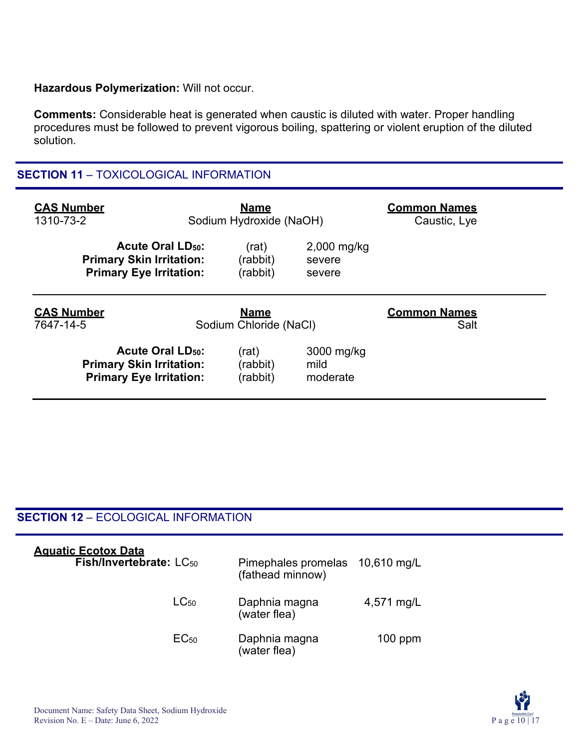#### **Hazardous Polymerization:** Will not occur.

**Comments:** Considerable heat is generated when caustic is diluted with water. Proper handling procedures must be followed to prevent vigorous boiling, spattering or violent eruption of the diluted solution.

#### **SECTION 11** – TOXICOLOGICAL INFORMATION

| <b>CAS Number</b><br>1310-73-2                                                                          | <b>Name</b><br>Sodium Hydroxide (NaOH) |                                   | <b>Common Names</b><br>Caustic, Lye |
|---------------------------------------------------------------------------------------------------------|----------------------------------------|-----------------------------------|-------------------------------------|
| <b>Acute Oral LD<sub>50</sub>:</b><br><b>Primary Skin Irritation:</b><br><b>Primary Eye Irritation:</b> | (rat)<br>(rabbit)<br>(rabbit)          | $2,000$ mg/kg<br>severe<br>severe |                                     |
|                                                                                                         |                                        |                                   |                                     |
| <b>CAS Number</b><br>7647-14-5                                                                          | <b>Name</b><br>Sodium Chloride (NaCl)  |                                   | <b>Common Names</b><br>Salt         |

#### **SECTION 12** – ECOLOGICAL INFORMATION

| <b>Aquatic Ecotox Data</b><br>Fish/Invertebrate: LC <sub>50</sub> | Pimephales promelas 10,610 mg/L<br>(fathead minnow) |            |
|-------------------------------------------------------------------|-----------------------------------------------------|------------|
| $LC_{50}$                                                         | Daphnia magna<br>(water flea)                       | 4,571 mg/L |
| EC <sub>50</sub>                                                  | Daphnia magna<br>(water flea)                       | $100$ ppm  |

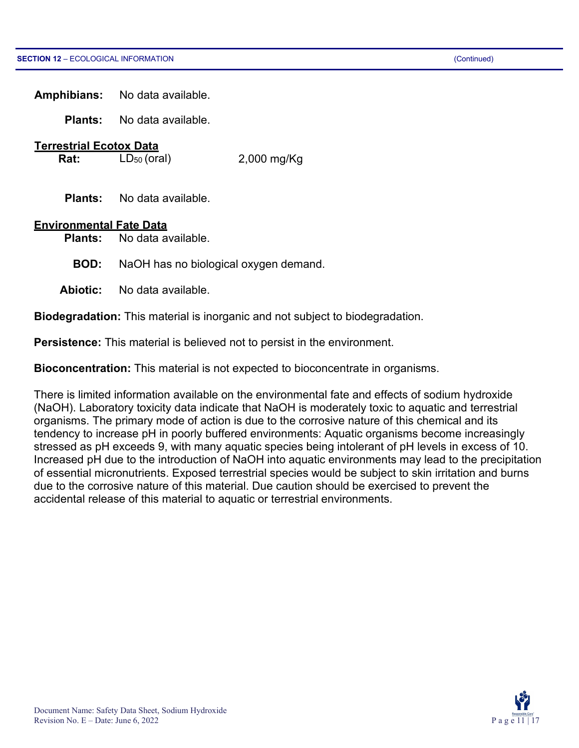**Amphibians:** No data available.

**Plants:** No data available.

## **Terrestrial Ecotox Data**<br>**Rat:** LD<sub>50</sub> (oral)

**Rat:** LD<sub>50</sub> (oral) 2,000 mg/Kg

**Plants:** No data available.

#### **Environmental Fate Data**

**Plants:** No data available.

- **BOD:** NaOH has no biological oxygen demand.
- **Abiotic:** No data available.

**Biodegradation:** This material is inorganic and not subject to biodegradation.

**Persistence:** This material is believed not to persist in the environment.

**Bioconcentration:** This material is not expected to bioconcentrate in organisms.

There is limited information available on the environmental fate and effects of sodium hydroxide (NaOH). Laboratory toxicity data indicate that NaOH is moderately toxic to aquatic and terrestrial organisms. The primary mode of action is due to the corrosive nature of this chemical and its tendency to increase pH in poorly buffered environments: Aquatic organisms become increasingly stressed as pH exceeds 9, with many aquatic species being intolerant of pH levels in excess of 10. Increased pH due to the introduction of NaOH into aquatic environments may lead to the precipitation of essential micronutrients. Exposed terrestrial species would be subject to skin irritation and burns due to the corrosive nature of this material. Due caution should be exercised to prevent the accidental release of this material to aquatic or terrestrial environments.

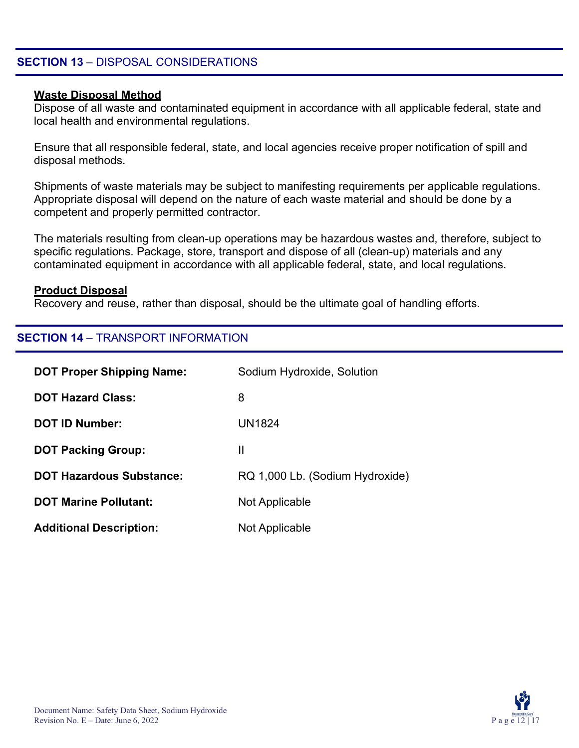#### **SECTION 13** – DISPOSAL CONSIDERATIONS

#### **Waste Disposal Method**

Dispose of all waste and contaminated equipment in accordance with all applicable federal, state and local health and environmental regulations.

Ensure that all responsible federal, state, and local agencies receive proper notification of spill and disposal methods.

Shipments of waste materials may be subject to manifesting requirements per applicable regulations. Appropriate disposal will depend on the nature of each waste material and should be done by a competent and properly permitted contractor.

The materials resulting from clean-up operations may be hazardous wastes and, therefore, subject to specific regulations. Package, store, transport and dispose of all (clean-up) materials and any contaminated equipment in accordance with all applicable federal, state, and local regulations.

#### **Product Disposal**

Recovery and reuse, rather than disposal, should be the ultimate goal of handling efforts.

#### **SECTION 14** – TRANSPORT INFORMATION

| <b>DOT Proper Shipping Name:</b> | Sodium Hydroxide, Solution      |
|----------------------------------|---------------------------------|
| <b>DOT Hazard Class:</b>         | 8                               |
| <b>DOT ID Number:</b>            | UN1824                          |
| <b>DOT Packing Group:</b>        | Ш                               |
| <b>DOT Hazardous Substance:</b>  | RQ 1,000 Lb. (Sodium Hydroxide) |
| <b>DOT Marine Pollutant:</b>     | Not Applicable                  |
| <b>Additional Description:</b>   | Not Applicable                  |

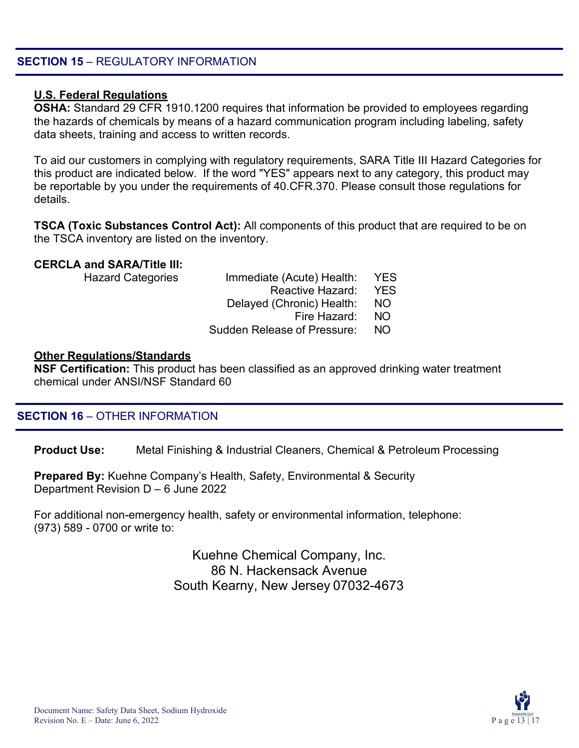#### **SECTION 15 - REGULATORY INFORMATION**

#### **U.S. Federal Regulations**

**OSHA:** Standard 29 CFR 1910.1200 requires that information be provided to employees regarding the hazards of chemicals by means of a hazard communication program including labeling, safety data sheets, training and access to written records.

To aid our customers in complying with regulatory requirements, SARA Title III Hazard Categories for this product are indicated below. If the word "YES" appears next to any category, this product may be reportable by you under the requirements of 40.CFR.370. Please consult those regulations for details.

**TSCA (Toxic Substances Control Act):** All components of this product that are required to be on the TSCA inventory are listed on the inventory.

#### **CERCLA and SARA/Title III:**

| <b>Hazard Categories</b> | Immediate (Acute) Health:          | <b>YES</b> |
|--------------------------|------------------------------------|------------|
|                          | Reactive Hazard:                   | <b>YFS</b> |
|                          | Delayed (Chronic) Health:          | NO.        |
|                          | Fire Hazard:                       | NO.        |
|                          | <b>Sudden Release of Pressure:</b> | NO.        |
|                          |                                    |            |

#### **Other Regulations/Standards**

**NSF Certification:** This product has been classified as an approved drinking water treatment chemical under ANSI/NSF Standard 60

#### **SECTION 16** – OTHER INFORMATION

**Product Use:** Metal Finishing & Industrial Cleaners, Chemical & Petroleum Processing

**Prepared By:** Kuehne Company's Health, Safety, Environmental & Security Department Revision D – 6 June 2022

For additional non-emergency health, safety or environmental information, telephone: (973) 589 - 0700 or write to:

> Kuehne Chemical Company, Inc. 86 N. Hackensack Avenue South Kearny, New Jersey 07032-4673

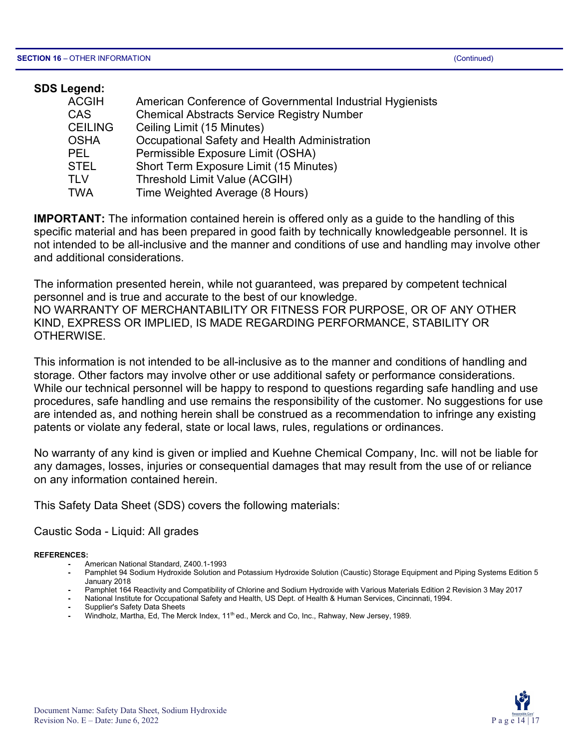| <b>SDS Legend:</b> |                                                           |
|--------------------|-----------------------------------------------------------|
| <b>ACGIH</b>       | American Conference of Governmental Industrial Hygienists |
| <b>CAS</b>         | <b>Chemical Abstracts Service Registry Number</b>         |
| <b>CEILING</b>     | Ceiling Limit (15 Minutes)                                |
| <b>OSHA</b>        | Occupational Safety and Health Administration             |
| <b>PEL</b>         | Permissible Exposure Limit (OSHA)                         |
| <b>STEL</b>        | Short Term Exposure Limit (15 Minutes)                    |
| <b>TLV</b>         | Threshold Limit Value (ACGIH)                             |
| <b>TWA</b>         | Time Weighted Average (8 Hours)                           |
|                    |                                                           |

**IMPORTANT:** The information contained herein is offered only as a guide to the handling of this specific material and has been prepared in good faith by technically knowledgeable personnel. It is not intended to be all-inclusive and the manner and conditions of use and handling may involve other and additional considerations.

The information presented herein, while not guaranteed, was prepared by competent technical personnel and is true and accurate to the best of our knowledge. NO WARRANTY OF MERCHANTABILITY OR FITNESS FOR PURPOSE, OR OF ANY OTHER KIND, EXPRESS OR IMPLIED, IS MADE REGARDING PERFORMANCE, STABILITY OR OTHERWISE.

This information is not intended to be all-inclusive as to the manner and conditions of handling and storage. Other factors may involve other or use additional safety or performance considerations. While our technical personnel will be happy to respond to questions regarding safe handling and use procedures, safe handling and use remains the responsibility of the customer. No suggestions for use are intended as, and nothing herein shall be construed as a recommendation to infringe any existing patents or violate any federal, state or local laws, rules, regulations or ordinances.

No warranty of any kind is given or implied and Kuehne Chemical Company, Inc. will not be liable for any damages, losses, injuries or consequential damages that may result from the use of or reliance on any information contained herein.

This Safety Data Sheet (SDS) covers the following materials:

Caustic Soda - Liquid: All grades

**REFERENCES:**

- **-** American National Standard, Z400.1-1993
- **-** Pamphlet 94 Sodium Hydroxide Solution and Potassium Hydroxide Solution (Caustic) Storage Equipment and Piping Systems Edition 5 January 2018
- **-** Pamphlet 164 Reactivity and Compatibility of Chlorine and Sodium Hydroxide with Various Materials Edition 2 Revision 3 May 2017
- **-** National Institute for Occupational Safety and Health, US Dept. of Health & Human Services, Cincinnati, 1994.
- **-** Supplier's Safety Data Sheets
- **-** Windholz, Martha, Ed, The Merck Index, 11th ed., Merck and Co, Inc., Rahway, New Jersey, 1989.

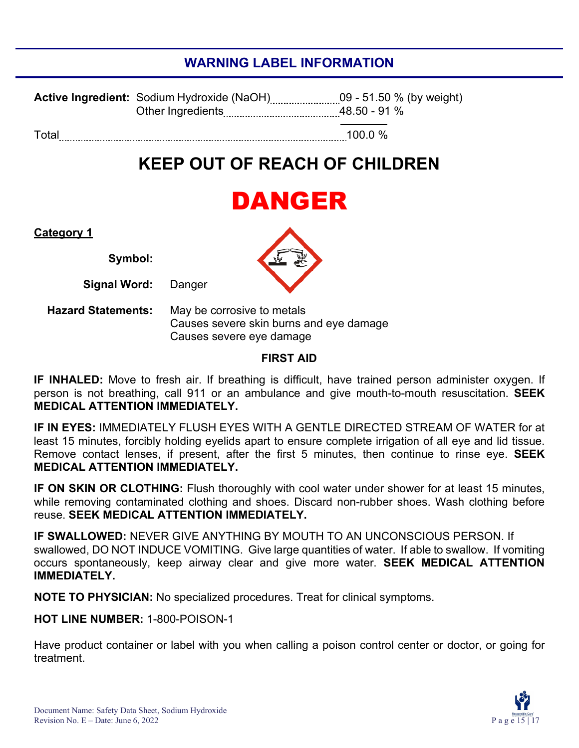### **WARNING LABEL INFORMATION**

|       | 48.50 - 91 % |
|-------|--------------|
| Total | 100.0%       |

## **KEEP OUT OF REACH OF CHILDREN**

## DANGER

#### **Category 1**

**Symbol:**

**Signal Word:** Danger

**Hazard Statements:** May be corrosive to metals Causes severe skin burns and eye damage Causes severe eye damage

#### **FIRST AID**

**IF INHALED:** Move to fresh air. If breathing is difficult, have trained person administer oxygen. If person is not breathing, call 911 or an ambulance and give mouth-to-mouth resuscitation. **SEEK MEDICAL ATTENTION IMMEDIATELY.**

**IF IN EYES:** IMMEDIATELY FLUSH EYES WITH A GENTLE DIRECTED STREAM OF WATER for at least 15 minutes, forcibly holding eyelids apart to ensure complete irrigation of all eye and lid tissue. Remove contact lenses, if present, after the first 5 minutes, then continue to rinse eye. **SEEK MEDICAL ATTENTION IMMEDIATELY.**

**IF ON SKIN OR CLOTHING:** Flush thoroughly with cool water under shower for at least 15 minutes, while removing contaminated clothing and shoes. Discard non-rubber shoes. Wash clothing before reuse. **SEEK MEDICAL ATTENTION IMMEDIATELY.**

**IF SWALLOWED:** NEVER GIVE ANYTHING BY MOUTH TO AN UNCONSCIOUS PERSON. If swallowed, DO NOT INDUCE VOMITING. Give large quantities of water. If able to swallow. If vomiting occurs spontaneously, keep airway clear and give more water. **SEEK MEDICAL ATTENTION IMMEDIATELY.**

**NOTE TO PHYSICIAN:** No specialized procedures. Treat for clinical symptoms.

**HOT LINE NUMBER:** 1-800-POISON-1

Have product container or label with you when calling a poison control center or doctor, or going for treatment.



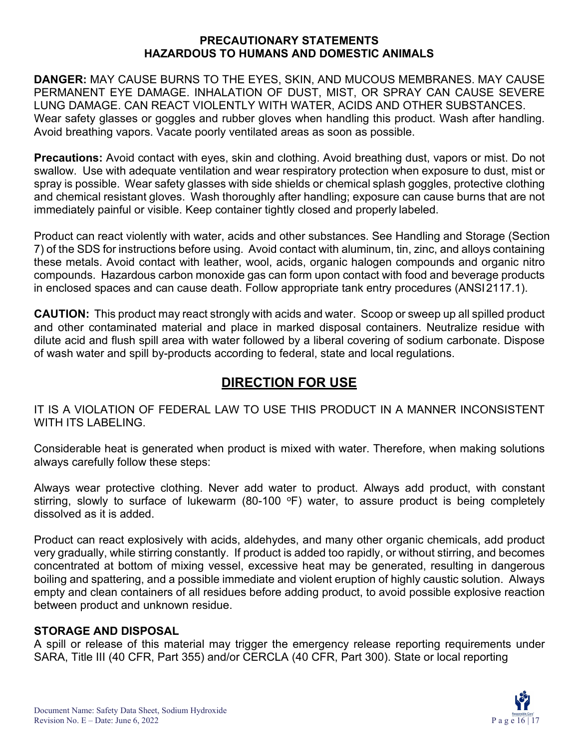#### **PRECAUTIONARY STATEMENTS HAZARDOUS TO HUMANS AND DOMESTIC ANIMALS**

**DANGER:** MAY CAUSE BURNS TO THE EYES, SKIN, AND MUCOUS MEMBRANES. MAY CAUSE PERMANENT EYE DAMAGE. INHALATION OF DUST, MIST, OR SPRAY CAN CAUSE SEVERE LUNG DAMAGE. CAN REACT VIOLENTLY WITH WATER, ACIDS AND OTHER SUBSTANCES. Wear safety glasses or goggles and rubber gloves when handling this product. Wash after handling. Avoid breathing vapors. Vacate poorly ventilated areas as soon as possible.

**Precautions:** Avoid contact with eyes, skin and clothing. Avoid breathing dust, vapors or mist. Do not swallow. Use with adequate ventilation and wear respiratory protection when exposure to dust, mist or spray is possible. Wear safety glasses with side shields or chemical splash goggles, protective clothing and chemical resistant gloves. Wash thoroughly after handling; exposure can cause burns that are not immediately painful or visible. Keep container tightly closed and properly labeled.

Product can react violently with water, acids and other substances. See Handling and Storage (Section 7) of the SDS for instructions before using. Avoid contact with aluminum, tin, zinc, and alloys containing these metals. Avoid contact with leather, wool, acids, organic halogen compounds and organic nitro compounds. Hazardous carbon monoxide gas can form upon contact with food and beverage products in enclosed spaces and can cause death. Follow appropriate tank entry procedures (ANSI2117.1).

**CAUTION:** This product may react strongly with acids and water. Scoop or sweep up all spilled product and other contaminated material and place in marked disposal containers. Neutralize residue with dilute acid and flush spill area with water followed by a liberal covering of sodium carbonate. Dispose of wash water and spill by-products according to federal, state and local regulations.

### **DIRECTION FOR USE**

IT IS A VIOLATION OF FEDERAL LAW TO USE THIS PRODUCT IN A MANNER INCONSISTENT WITH ITS LABELING

Considerable heat is generated when product is mixed with water. Therefore, when making solutions always carefully follow these steps:

Always wear protective clothing. Never add water to product. Always add product, with constant stirring, slowly to surface of lukewarm (80-100  $\degree$ F) water, to assure product is being completely dissolved as it is added.

Product can react explosively with acids, aldehydes, and many other organic chemicals, add product very gradually, while stirring constantly. If product is added too rapidly, or without stirring, and becomes concentrated at bottom of mixing vessel, excessive heat may be generated, resulting in dangerous boiling and spattering, and a possible immediate and violent eruption of highly caustic solution. Always empty and clean containers of all residues before adding product, to avoid possible explosive reaction between product and unknown residue.

### **STORAGE AND DISPOSAL**

A spill or release of this material may trigger the emergency release reporting requirements under SARA, Title III (40 CFR, Part 355) and/or CERCLA (40 CFR, Part 300). State or local reporting